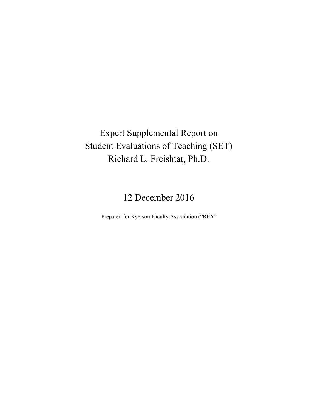Expert Supplemental Report on Student Evaluations of Teaching (SET) Richard L. Freishtat, Ph.D.

12 December 2016

Prepared for Ryerson Faculty Association ("RFA"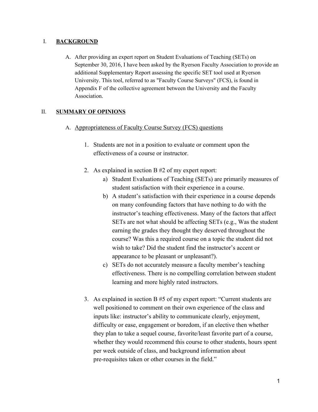## I. **BACKGROUND**

A. After providing an expert report on Student Evaluations of Teaching (SETs) on September 30, 2016, I have been asked by the Ryerson Faculty Association to provide an additional Supplementary Report assessing the specific SET tool used at Ryerson University. This tool, referred to as "Faculty Course Surveys" (FCS), is found in Appendix F of the collective agreement between the University and the Faculty Association.

# II. **SUMMARY OF OPINIONS**

- A. Appropriateness of Faculty Course Survey (FCS) questions
	- 1. Students are not in a position to evaluate or comment upon the effectiveness of a course or instructor.
	- 2. As explained in section B #2 of my expert report:
		- a) Student Evaluations of Teaching (SETs) are primarily measures of student satisfaction with their experience in a course.
		- b) A student's satisfaction with their experience in a course depends on many confounding factors that have nothing to do with the instructor's teaching effectiveness. Many of the factors that affect SETs are not what should be affecting SETs (e.g., Was the student earning the grades they thought they deserved throughout the course? Was this a required course on a topic the student did not wish to take? Did the student find the instructor's accent or appearance to be pleasant or unpleasant?).
		- c) SETs do not accurately measure a faculty member's teaching effectiveness. There is no compelling correlation between student learning and more highly rated instructors.
	- 3. As explained in section B #5 of my expert report: "Current students are well positioned to comment on their own experience of the class and inputs like: instructor's ability to communicate clearly, enjoyment, difficulty or ease, engagement or boredom, if an elective then whether they plan to take a sequel course, favorite/least favorite part of a course, whether they would recommend this course to other students, hours spent per week outside of class, and background information about pre-requisites taken or other courses in the field."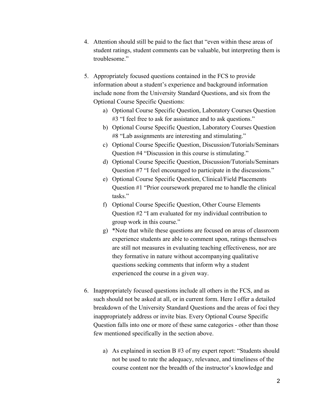- 4. Attention should still be paid to the fact that "even within these areas of student ratings, student comments can be valuable, but interpreting them is troublesome."
- 5. Appropriately focused questions contained in the FCS to provide information about a student's experience and background information include none from the University Standard Questions, and six from the Optional Course Specific Questions:
	- a) Optional Course Specific Question, Laboratory Courses Question #3 "I feel free to ask for assistance and to ask questions."
	- b) Optional Course Specific Question, Laboratory Courses Question #8 "Lab assignments are interesting and stimulating."
	- c) Optional Course Specific Question, Discussion/Tutorials/Seminars Question #4 "Discussion in this course is stimulating."
	- d) Optional Course Specific Question, Discussion/Tutorials/Seminars Question #7 "I feel encouraged to participate in the discussions."
	- e) Optional Course Specific Question, Clinical/Field Placements Question #1 "Prior coursework prepared me to handle the clinical tasks."
	- f) Optional Course Specific Question, Other Course Elements Question #2 "I am evaluated for my individual contribution to group work in this course."
	- g) \*Note that while these questions are focused on areas of classroom experience students are able to comment upon, ratings themselves are still not measures in evaluating teaching effectiveness, nor are they formative in nature without accompanying qualitative questions seeking comments that inform why a student experienced the course in a given way.
- 6. Inappropriately focused questions include all others in the FCS, and as such should not be asked at all, or in current form. Here I offer a detailed breakdown of the University Standard Questions and the areas of foci they inappropriately address or invite bias. Every Optional Course Specific Question falls into one or more of these same categories - other than those few mentioned specifically in the section above.
	- a) As explained in section B #3 of my expert report: "Students should not be used to rate the adequacy, relevance, and timeliness of the course content nor the breadth of the instructor's knowledge and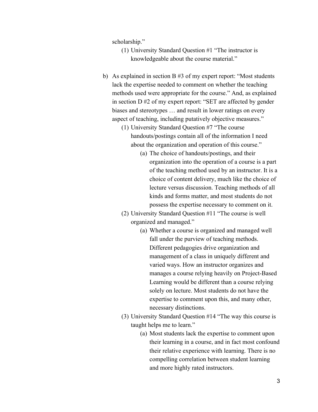scholarship."

- (1) University Standard Question #1 "The instructor is knowledgeable about the course material."
- b) As explained in section B #3 of my expert report: "Most students lack the expertise needed to comment on whether the teaching methods used were appropriate for the course." And, as explained in section D #2 of my expert report: "SET are affected by gender biases and stereotypes … and result in lower ratings on every aspect of teaching, including putatively objective measures."
	- (1) University Standard Question #7 "The course handouts/postings contain all of the information I need about the organization and operation of this course."
		- (a) The choice of handouts/postings, and their organization into the operation of a course is a part of the teaching method used by an instructor. It is a choice of content delivery, much like the choice of lecture versus discussion. Teaching methods of all kinds and forms matter, and most students do not possess the expertise necessary to comment on it.
	- (2) University Standard Question #11 "The course is well organized and managed."
		- (a) Whether a course is organized and managed well fall under the purview of teaching methods. Different pedagogies drive organization and management of a class in uniquely different and varied ways. How an instructor organizes and manages a course relying heavily on Project-Based Learning would be different than a course relying solely on lecture. Most students do not have the expertise to comment upon this, and many other, necessary distinctions.
	- (3) University Standard Question #14 "The way this course is taught helps me to learn."
		- (a) Most students lack the expertise to comment upon their learning in a course, and in fact most confound their relative experience with learning. There is no compelling correlation between student learning and more highly rated instructors.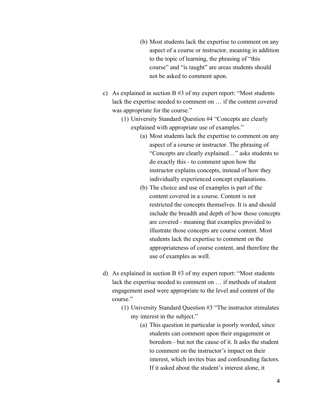- (b) Most students lack the expertise to comment on any aspect of a course or instructor, meaning in addition to the topic of learning, the phrasing of "this course" and "is taught" are areas students should not be asked to comment upon.
- c) As explained in section B #3 of my expert report: "Most students lack the expertise needed to comment on … if the content covered was appropriate for the course."
	- (1) University Standard Question #4 "Concepts are clearly explained with appropriate use of examples."
		- (a) Most students lack the expertise to comment on any aspect of a course or instructor. The phrasing of "Concepts are clearly explained…" asks students to do exactly this - to comment upon how the instructor explains concepts, instead of how they individually experienced concept explanations.
		- (b) The choice and use of examples is part of the content covered in a course. Content is not restricted the concepts themselves. It is and should include the breadth and depth of how those concepts are covered - meaning that examples provided to illustrate those concepts are course content. Most students lack the expertise to comment on the appropriateness of course content, and therefore the use of examples as well.
- d) As explained in section B #3 of my expert report: "Most students lack the expertise needed to comment on … if methods of student engagement used were appropriate to the level and content of the course."
	- (1) University Standard Question #3 "The instructor stimulates my interest in the subject."
		- (a) This question in particular is poorly worded, since students can comment upon their engagement or boredom - but not the cause of it. It asks the student to comment on the instructor's impact on their interest, which invites bias and confounding factors. If it asked about the student's interest alone, it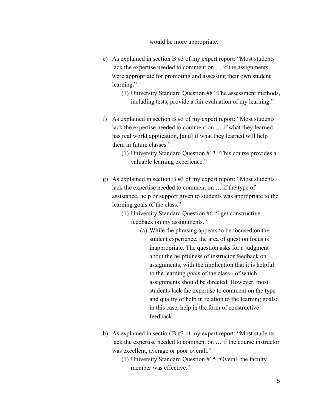#### would be more appropriate.

- e) As explained in section B #3 of my expert report: "Most students lack the expertise needed to comment on … if the assignments were appropriate for promoting and assessing their own student learning."
	- (1) University Standard Question #8 "The assessment methods, including tests, provide a fair evaluation of my learning."
- f) As explained in section B #3 of my expert report: "Most students lack the expertise needed to comment on … if what they learned has real world application, [and] if what they learned will help them in future classes."
	- (1) University Standard Question #13 "This course provides a valuable learning experience."
- g) As explained in section B #3 of my expert report: "Most students lack the expertise needed to comment on … if the type of assistance, help or support given to students was appropriate to the learning goals of the class."
	- (1) University Standard Question #6 "I get constructive feedback on my assignments."
		- (a) While the phrasing appears to be focused on the student experience, the area of question focus is inappropriate. The question asks for a judgment about the helpfulness of instructor feedback on assignments, with the implication that it is helpful to the learning goals of the class - of which assignments should be directed. However, most students lack the expertise to comment on the type and quality of help in relation to the learning goals; in this case, help in the form of constructive feedback.
- h) As explained in section B #3 of my expert report: "Most students lack the expertise needed to comment on … if the course instructor was excellent, average or poor overall."
	- (1) University Standard Question #15 "Overall the faculty member was effective."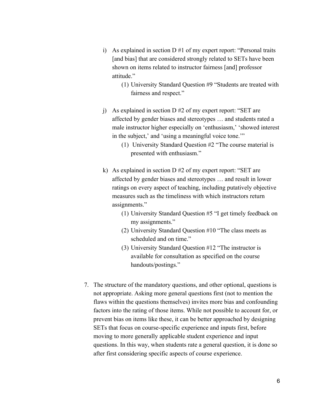- i) As explained in section  $D \# 1$  of my expert report: "Personal traits [and bias] that are considered strongly related to SETs have been shown on items related to instructor fairness [and] professor attitude<sup>"</sup>
	- (1) University Standard Question #9 "Students are treated with fairness and respect."
- j) As explained in section D #2 of my expert report: "SET are affected by gender biases and stereotypes … and students rated a male instructor higher especially on 'enthusiasm,' 'showed interest in the subject,' and 'using a meaningful voice tone.'"
	- (1) University Standard Question #2 "The course material is presented with enthusiasm."
- k) As explained in section D #2 of my expert report: "SET are affected by gender biases and stereotypes … and result in lower ratings on every aspect of teaching, including putatively objective measures such as the timeliness with which instructors return assignments."
	- (1) University Standard Question #5 "I get timely feedback on my assignments."
	- (2) University Standard Question #10 "The class meets as scheduled and on time."
	- (3) University Standard Question #12 "The instructor is available for consultation as specified on the course handouts/postings."
- 7. The structure of the mandatory questions, and other optional, questions is not appropriate. Asking more general questions first (not to mention the flaws within the questions themselves) invites more bias and confounding factors into the rating of those items. While not possible to account for, or prevent bias on items like these, it can be better approached by designing SETs that focus on course-specific experience and inputs first, before moving to more generally applicable student experience and input questions. In this way, when students rate a general question, it is done so after first considering specific aspects of course experience.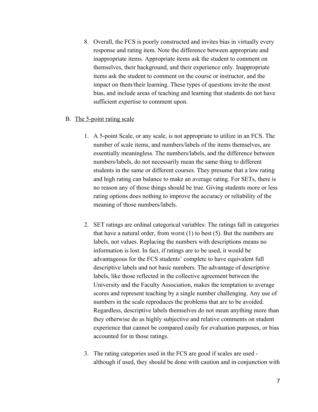8. Overall, the FCS is poorly constructed and invites bias in virtually every response and rating item. Note the difference between appropriate and inappropriate items. Appropriate items ask the student to comment on themselves, their background, and their experience only. Inappropriate items ask the student to comment on the course or instructor, and the impact on them/their learning. These types of questions invite the most bias, and include areas of teaching and learning that students do not have sufficient expertise to comment upon.

## B. The 5-point rating scale

- 1. A 5-point Scale, or any scale, is not appropriate to utilize in an FCS. The number of scale items, and numbers/labels of the items themselves, are essentially meaningless. The numbers/labels, and the difference between numbers/labels, do not necessarily mean the same thing to different students in the same or different courses. They presume that a low rating and high rating can balance to make an average rating. For SETs, there is no reason any of those things should be true. Giving students more or less rating options does nothing to improve the accuracy or reliability of the meaning of those numbers/labels.
- 2. SET ratings are ordinal categorical variables: The ratings fall in categories that have a natural order, from worst (1) to best (5). But the numbers are labels, not values. Replacing the numbers with descriptions means no information is lost. In fact, if ratings are to be used, it would be advantageous for the FCS students' complete to have equivalent full descriptive labels and not basic numbers. The advantage of descriptive labels, like those reflected in the collective agreement between the University and the Faculty Association, makes the temptation to average scores and represent teaching by a single number challenging. Any use of numbers in the scale reproduces the problems that are to be avoided. Regardless, descriptive labels themselves do not mean anything more than they otherwise do as highly subjective and relative comments on student experience that cannot be compared easily for evaluation purposes, or bias accounted for in those ratings.
- 3. The rating categories used in the FCS are good if scales are used although if used, they should be done with caution and in conjunction with